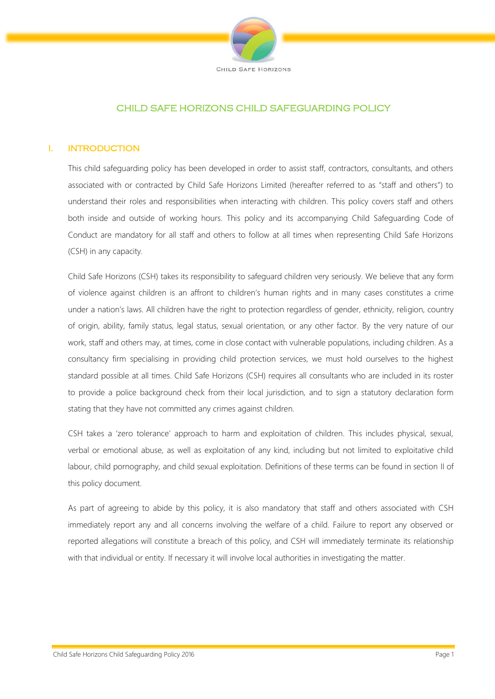

# CHILD SAFE HORIZONS CHILD SAFEGUARDING POLICY

# I. INTRODUCTION

This child safeguarding policy has been developed in order to assist staff, contractors, consultants, and others associated with or contracted by Child Safe Horizons Limited (hereafter referred to as "staff and others") to understand their roles and responsibilities when interacting with children. This policy covers staff and others both inside and outside of working hours. This policy and its accompanying Child Safeguarding Code of Conduct are mandatory for all staff and others to follow at all times when representing Child Safe Horizons (CSH) in any capacity.

Child Safe Horizons (CSH) takes its responsibility to safeguard children very seriously. We believe that any form of violence against children is an affront to children's human rights and in many cases constitutes a crime under a nation's laws. All children have the right to protection regardless of gender, ethnicity, religion, country of origin, ability, family status, legal status, sexual orientation, or any other factor. By the very nature of our work, staff and others may, at times, come in close contact with vulnerable populations, including children. As a consultancy firm specialising in providing child protection services, we must hold ourselves to the highest standard possible at all times. Child Safe Horizons (CSH) requires all consultants who are included in its roster to provide a police background check from their local jurisdiction, and to sign a statutory declaration form stating that they have not committed any crimes against children.

CSH takes a 'zero tolerance' approach to harm and exploitation of children. This includes physical, sexual, verbal or emotional abuse, as well as exploitation of any kind, including but not limited to exploitative child labour, child pornography, and child sexual exploitation. Definitions of these terms can be found in section II of this policy document.

As part of agreeing to abide by this policy, it is also mandatory that staff and others associated with CSH immediately report any and all concerns involving the welfare of a child. Failure to report any observed or reported allegations will constitute a breach of this policy, and CSH will immediately terminate its relationship with that individual or entity. If necessary it will involve local authorities in investigating the matter.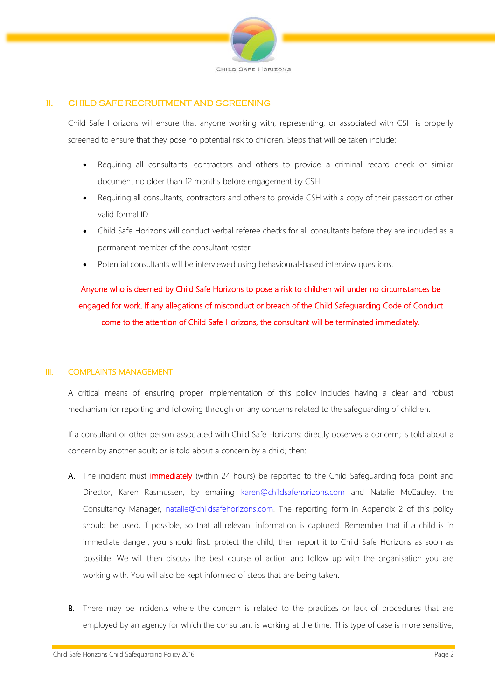

# II. CHILD SAFE RECRUITMENT AND SCREENING

Child Safe Horizons will ensure that anyone working with, representing, or associated with CSH is properly screened to ensure that they pose no potential risk to children. Steps that will be taken include:

- Requiring all consultants, contractors and others to provide a criminal record check or similar document no older than 12 months before engagement by CSH
- Requiring all consultants, contractors and others to provide CSH with a copy of their passport or other valid formal ID
- Child Safe Horizons will conduct verbal referee checks for all consultants before they are included as a permanent member of the consultant roster
- Potential consultants will be interviewed using behavioural-based interview questions.

Anyone who is deemed by Child Safe Horizons to pose a risk to children will under no circumstances be engaged for work. If any allegations of misconduct or breach of the Child Safeguarding Code of Conduct come to the attention of Child Safe Horizons, the consultant will be terminated immediately.

#### III. COMPLAINTS MANAGEMENT

A critical means of ensuring proper implementation of this policy includes having a clear and robust mechanism for reporting and following through on any concerns related to the safeguarding of children.

If a consultant or other person associated with Child Safe Horizons: directly observes a concern; is told about a concern by another adult; or is told about a concern by a child; then:

- A. The incident must immediately (within 24 hours) be reported to the Child Safeguarding focal point and Director, Karen Rasmussen, by emailing [karen@childsafehorizons.com](mailto:karen@childsafehorizons.com) and Natalie McCauley, the Consultancy Manager, [natalie@childsafehorizons.com.](mailto:natalie@childsafehorizons.com) The reporting form in Appendix 2 of this policy should be used, if possible, so that all relevant information is captured. Remember that if a child is in immediate danger, you should first, protect the child, then report it to Child Safe Horizons as soon as possible. We will then discuss the best course of action and follow up with the organisation you are working with. You will also be kept informed of steps that are being taken.
- B. There may be incidents where the concern is related to the practices or lack of procedures that are employed by an agency for which the consultant is working at the time. This type of case is more sensitive,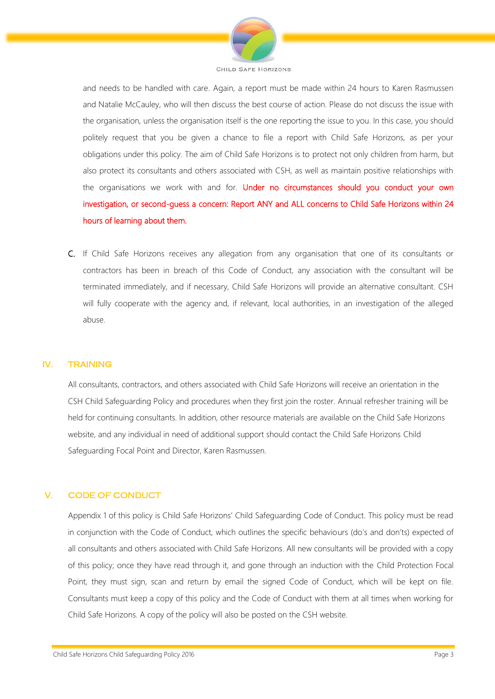

and needs to be handled with care. Again, a report must be made within 24 hours to Karen Rasmussen and Natalie McCauley, who will then discuss the best course of action. Please do not discuss the issue with the organisation, unless the organisation itself is the one reporting the issue to you. In this case, you should politely request that you be given a chance to file a report with Child Safe Horizons, as per your obligations under this policy. The aim of Child Safe Horizons is to protect not only children from harm, but also protect its consultants and others associated with CSH, as well as maintain positive relationships with the organisations we work with and for. Under no circumstances should you conduct your own investigation, or second-guess a concern: Report ANY and ALL concerns to Child Safe Horizons within 24 hours of learning about them.

C. If Child Safe Horizons receives any allegation from any organisation that one of its consultants or contractors has been in breach of this Code of Conduct, any association with the consultant will be terminated immediately, and if necessary, Child Safe Horizons will provide an alternative consultant. CSH will fully cooperate with the agency and, if relevant, local authorities, in an investigation of the alleged abuse.

#### IV. TRAINING

All consultants, contractors, and others associated with Child Safe Horizons will receive an orientation in the CSH Child Safeguarding Policy and procedures when they first join the roster. Annual refresher training will be held for continuing consultants. In addition, other resource materials are available on the Child Safe Horizons website, and any individual in need of additional support should contact the Child Safe Horizons Child Safeguarding Focal Point and Director, Karen Rasmussen.

# V. CODE OF CONDUCT

Appendix 1 of this policy is Child Safe Horizons' Child Safeguarding Code of Conduct. This policy must be read in conjunction with the Code of Conduct, which outlines the specific behaviours (do's and don'ts) expected of all consultants and others associated with Child Safe Horizons. All new consultants will be provided with a copy of this policy; once they have read through it, and gone through an induction with the Child Protection Focal Point, they must sign, scan and return by email the signed Code of Conduct, which will be kept on file. Consultants must keep a copy of this policy and the Code of Conduct with them at all times when working for Child Safe Horizons. A copy of the policy will also be posted on the CSH website.